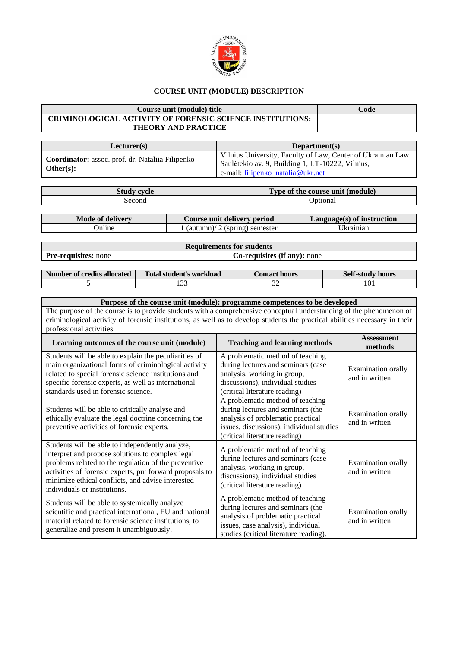

## **COURSE UNIT (MODULE) DESCRIPTION**

## **Course unit (module) title Code CRIMINOLOGICAL ACTIVITY OF FORENSIC SCIENCE INSTITUTIONS: THEORY AND PRACTICE**

| Lecturer(s)                                                                  | Department(s)                                                                                                                                        |  |  |
|------------------------------------------------------------------------------|------------------------------------------------------------------------------------------------------------------------------------------------------|--|--|
| Coordinator: assoc. prof. dr. Nataliia Filipenko<br>$\blacksquare$ Other(s): | Vilnius University, Faculty of Law, Center of Ukrainian Law<br>Saulėtekio av. 9, Building 1, LT-10222, Vilnius,<br>e-mail: filipenko_natalia@ukr.net |  |  |

| <b>Study</b><br>evele | $\sim$<br>$\mathcal{L}(\mathbf{module})$<br><b>Type of the course unit</b> |
|-----------------------|----------------------------------------------------------------------------|
| second                | <i>Iptional</i>                                                            |

| Mode of delivery | Course unit delivery period       | $Language(s)$ of instruction |
|------------------|-----------------------------------|------------------------------|
| Online           | $1$ (autumn)/ 2 (spring) semester | Jkrainian                    |

| <b>Requirements for students</b> |                              |  |  |  |
|----------------------------------|------------------------------|--|--|--|
| <b>Pre-requisites:</b> none      | Co-requisites (if any): none |  |  |  |

| Number of credits allocated | <b>Fotal student's workload</b> | Contact hours | <b>Self-study hours</b> |
|-----------------------------|---------------------------------|---------------|-------------------------|
|                             | $\sim$<br>.                     | ◡             | 1 U 1                   |

## **Purpose of the course unit (module): programme competences to be developed** The purpose of the course is to provide students with a comprehensive conceptual understanding of the phenomenon of criminological activity of forensic institutions, as well as to develop students the practical abilities necessary in their professional activities.

| Learning outcomes of the course unit (module)                                                                                                                                                                                                                                                                | <b>Teaching and learning methods</b>                                                                                                                                                       | <b>Assessment</b><br>methods                |
|--------------------------------------------------------------------------------------------------------------------------------------------------------------------------------------------------------------------------------------------------------------------------------------------------------------|--------------------------------------------------------------------------------------------------------------------------------------------------------------------------------------------|---------------------------------------------|
| Students will be able to explain the peculiarities of<br>main organizational forms of criminological activity<br>related to special forensic science institutions and<br>specific forensic experts, as well as international<br>standards used in forensic science.                                          | A problematic method of teaching<br>during lectures and seminars (case<br>analysis, working in group,<br>discussions), individual studies<br>(critical literature reading)                 | Examination orally<br>and in written        |
| Students will be able to critically analyse and<br>ethically evaluate the legal doctrine concerning the<br>preventive activities of forensic experts.                                                                                                                                                        | A problematic method of teaching<br>during lectures and seminars (the<br>analysis of problematic practical<br>issues, discussions), individual studies<br>(critical literature reading)    | Examination orally<br>and in written        |
| Students will be able to independently analyze,<br>interpret and propose solutions to complex legal<br>problems related to the regulation of the preventive<br>activities of forensic experts, put forward proposals to<br>minimize ethical conflicts, and advise interested<br>individuals or institutions. | A problematic method of teaching<br>during lectures and seminars (case<br>analysis, working in group,<br>discussions), individual studies<br>(critical literature reading)                 | Examination orally<br>and in written        |
| Students will be able to systemically analyze<br>scientific and practical international, EU and national<br>material related to forensic science institutions, to<br>generalize and present it unambiguously.                                                                                                | A problematic method of teaching<br>during lectures and seminars (the<br>analysis of problematic practical<br>issues, case analysis), individual<br>studies (critical literature reading). | <b>Examination orally</b><br>and in written |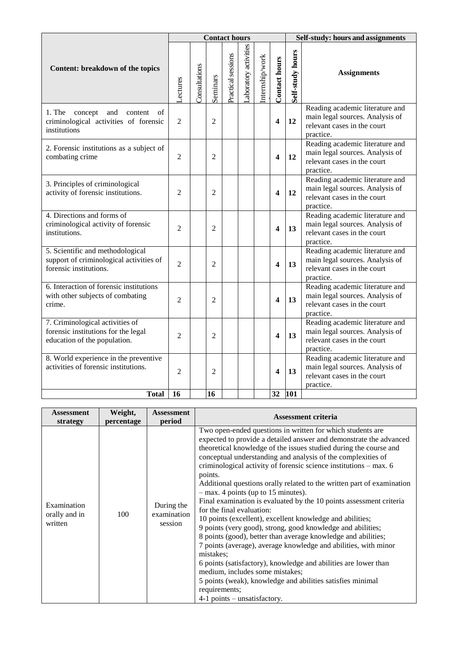|                                                                                                        | <b>Contact hours</b> |               |                |                    |                      |                 | Self-study: hours and assignments |                  |                                                                                                                |
|--------------------------------------------------------------------------------------------------------|----------------------|---------------|----------------|--------------------|----------------------|-----------------|-----------------------------------|------------------|----------------------------------------------------------------------------------------------------------------|
| Content: breakdown of the topics                                                                       | -ectures             | Consultations | Seminars       | Practical sessions | aboratory activities | Internship/work | Contact hours                     | Self-study hours | <b>Assignments</b>                                                                                             |
| 1. The<br>concept<br>and<br>content<br>of<br>criminological activities of forensic<br>institutions     | $\overline{2}$       |               | $\overline{2}$ |                    |                      |                 | $\overline{\mathbf{4}}$           | 12               | Reading academic literature and<br>main legal sources. Analysis of<br>relevant cases in the court<br>practice. |
| 2. Forensic institutions as a subject of<br>combating crime                                            | $\overline{2}$       |               | $\overline{2}$ |                    |                      |                 | $\overline{\mathbf{4}}$           | 12               | Reading academic literature and<br>main legal sources. Analysis of<br>relevant cases in the court<br>practice. |
| 3. Principles of criminological<br>activity of forensic institutions.                                  | $\overline{2}$       |               | $\overline{2}$ |                    |                      |                 | $\overline{\mathbf{4}}$           | 12               | Reading academic literature and<br>main legal sources. Analysis of<br>relevant cases in the court<br>practice. |
| 4. Directions and forms of<br>criminological activity of forensic<br>institutions.                     | 2                    |               | 2              |                    |                      |                 | 4                                 | 13               | Reading academic literature and<br>main legal sources. Analysis of<br>relevant cases in the court<br>practice. |
| 5. Scientific and methodological<br>support of criminological activities of<br>forensic institutions.  | $\overline{2}$       |               | $\overline{2}$ |                    |                      |                 | $\overline{\mathbf{4}}$           | 13               | Reading academic literature and<br>main legal sources. Analysis of<br>relevant cases in the court<br>practice. |
| 6. Interaction of forensic institutions<br>with other subjects of combating<br>crime.                  | $\overline{2}$       |               | $\overline{2}$ |                    |                      |                 | $\overline{\mathbf{4}}$           | 13               | Reading academic literature and<br>main legal sources. Analysis of<br>relevant cases in the court<br>practice. |
| 7. Criminological activities of<br>forensic institutions for the legal<br>education of the population. | 2                    |               | 2              |                    |                      |                 | 4                                 | 13               | Reading academic literature and<br>main legal sources. Analysis of<br>relevant cases in the court<br>practice. |
| 8. World experience in the preventive<br>activities of forensic institutions.                          | 2                    |               | 2              |                    |                      |                 | 4                                 | 13               | Reading academic literature and<br>main legal sources. Analysis of<br>relevant cases in the court<br>practice. |
| <b>Total</b>                                                                                           | 16                   |               | 16             |                    |                      |                 | 32                                | 101              |                                                                                                                |

| <b>Assessment</b>                       | Weight,    | <b>Assessment</b>                    | <b>Assessment criteria</b>                                                                                                                                                                                                                                                                                                                                                                                                                                                                                                                                                                                                                                                                                                                                                                                                                                                                                                                                                                                                                                                       |  |
|-----------------------------------------|------------|--------------------------------------|----------------------------------------------------------------------------------------------------------------------------------------------------------------------------------------------------------------------------------------------------------------------------------------------------------------------------------------------------------------------------------------------------------------------------------------------------------------------------------------------------------------------------------------------------------------------------------------------------------------------------------------------------------------------------------------------------------------------------------------------------------------------------------------------------------------------------------------------------------------------------------------------------------------------------------------------------------------------------------------------------------------------------------------------------------------------------------|--|
| strategy                                | percentage | period                               |                                                                                                                                                                                                                                                                                                                                                                                                                                                                                                                                                                                                                                                                                                                                                                                                                                                                                                                                                                                                                                                                                  |  |
| Examination<br>orally and in<br>written | 100        | During the<br>examination<br>session | Two open-ended questions in written for which students are<br>expected to provide a detailed answer and demonstrate the advanced<br>theoretical knowledge of the issues studied during the course and<br>conceptual understanding and analysis of the complexities of<br>criminological activity of forensic science institutions – max. 6<br>points.<br>Additional questions orally related to the written part of examination<br>$-$ max. 4 points (up to 15 minutes).<br>Final examination is evaluated by the 10 points assessment criteria<br>for the final evaluation:<br>10 points (excellent), excellent knowledge and abilities;<br>9 points (very good), strong, good knowledge and abilities;<br>8 points (good), better than average knowledge and abilities;<br>7 points (average), average knowledge and abilities, with minor<br>mistakes;<br>6 points (satisfactory), knowledge and abilities are lower than<br>medium, includes some mistakes;<br>5 points (weak), knowledge and abilities satisfies minimal<br>requirements;<br>$4-1$ points – unsatisfactory. |  |